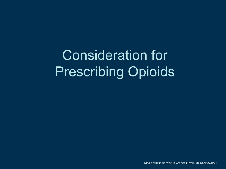Consideration for Prescribing Opioids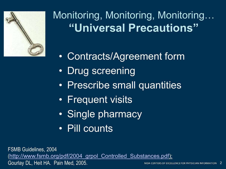

### Monitoring, Monitoring, Monitoring… **"Universal Precautions"**

- Contracts/Agreement form
- Drug screening
- Prescribe small quantities
- Frequent visits
- Single pharmacy
- Pill counts

FSMB Guidelines, 2004 ([http://www.fsmb.org/pdf/2004\\_grpol\\_Controlled\\_Substances.pdf\)](http://www.fsmb.org/pdf/2004_grpol_Controlled_Substances.pdf); Gourlay DL, Heit HA. Pain Med, 2005.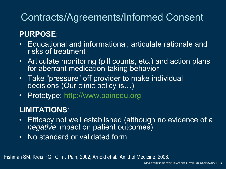#### Contracts/Agreements/Informed Consent

#### **PURPOSE**:

- Educational and informational, articulate rationale and risks of treatment
- Articulate monitoring (pill counts, etc.) and action plans for aberrant medication-taking behavior
- Take "pressure" off provider to make individual decisions (Our clinic policy is…)
- Prototype:<http://www.painedu.org>

#### **LIMITATIONS**:

- $\bullet$ Efficacy not well established (although no evidence of a *negative* impact on patient outcomes)
- No standard or validated form

Fishman SM, Kreis PG. Clin J Pain, 2002; Arnold et al. Am J of Medicine, 2006.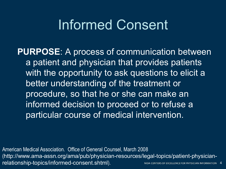### Informed Consent

**PURPOSE**: A process of communication between a patient and physician that provides patients with the opportunity to ask questions to elicit a better understanding of the treatment or procedure, so that he or she can make an informed decision to proceed or to refuse a particular course of medical intervention.

American Medical Association. Office of General Counsel, March 2008 ([http://www.ama-assn.org/ama/pub/physician-resources/legal-topics/patient-physician](http://www.ama-assn.org/ama/pub/physician-resources/legal-topics/patient-physician-relationship-topics/informed-consent.shtml)relationship-topics/informed-consent.shtml). <sup>4</sup>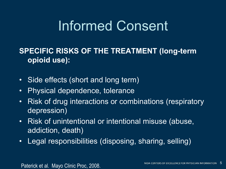## Informed Consent

#### **SPECIFIC RISKS OF THE TREATMENT (long-term opioid use):**

- $\bullet$ Side effects (short and long term)
- Physical dependence, tolerance
- Risk of drug interactions or combinations (respiratory depression)
- Risk of unintentional or intentional misuse (abuse, addiction, death)
- Legal responsibilities (disposing, sharing, selling)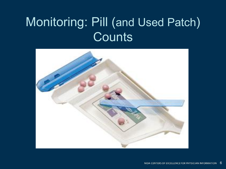## Monitoring: Pill (and Used Patch) **Counts**

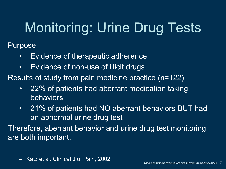# Monitoring: Urine Drug Tests

Purpose

- Evidence of therapeutic adherence
- Evidence of non-use of illicit drugs
- Results of study from pain medicine practice (n=122)
	- 22% of patients had aberrant medication taking behaviors
	- 21% of patients had NO aberrant behaviors BUT had an abnormal urine drug test

Therefore, aberrant behavior and urine drug test monitoring are both important.

– Katz et al. Clinical J of Pain, 2002.